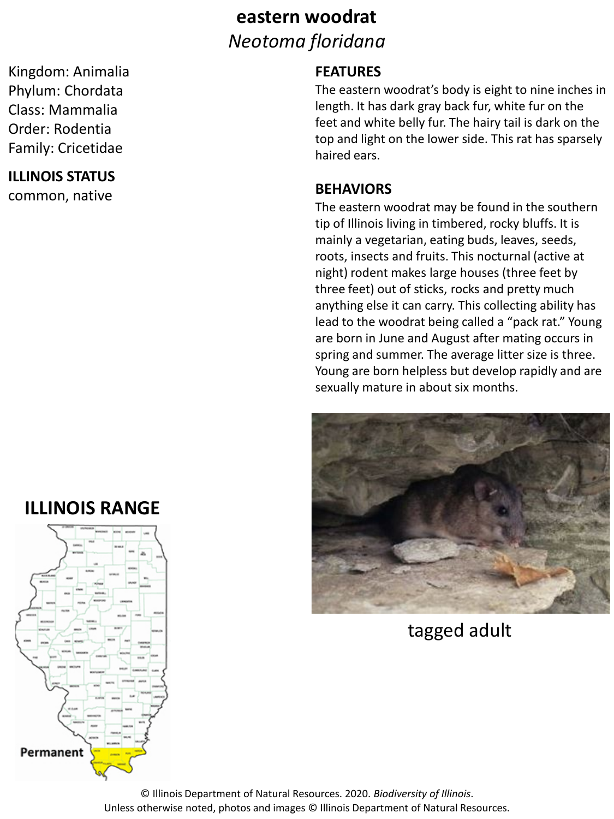### **eastern woodrat** *Neotoma floridana*

Kingdom: Animalia Phylum: Chordata Class: Mammalia Order: Rodentia Family: Cricetidae

#### **ILLINOIS STATUS**

common, native

## **ILLINOIS RANGE**



#### **FEATURES**

The eastern woodrat's body is eight to nine inches in length. It has dark gray back fur, white fur on the feet and white belly fur. The hairy tail is dark on the top and light on the lower side. This rat has sparsely haired ears.

#### **BEHAVIORS**

The eastern woodrat may be found in the southern tip of Illinois living in timbered, rocky bluffs. It is mainly a vegetarian, eating buds, leaves, seeds, roots, insects and fruits. This nocturnal (active at night) rodent makes large houses (three feet by three feet) out of sticks, rocks and pretty much anything else it can carry. This collecting ability has lead to the woodrat being called a "pack rat." Young are born in June and August after mating occurs in spring and summer. The average litter size is three. Young are born helpless but develop rapidly and are sexually mature in about six months.



tagged adult

© Illinois Department of Natural Resources. 2020. *Biodiversity of Illinois*. Unless otherwise noted, photos and images © Illinois Department of Natural Resources.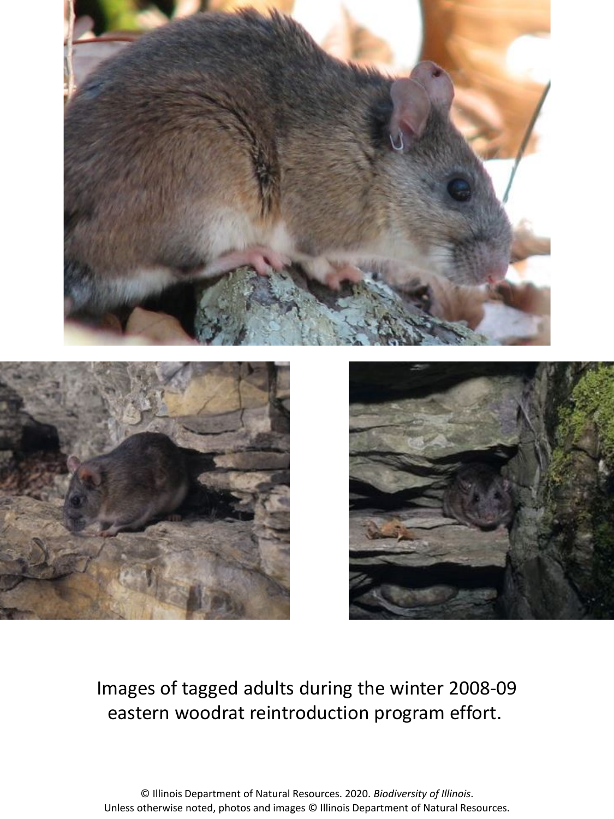





## Images of tagged adults during the winter 2008-09 eastern woodrat reintroduction program effort.

© Illinois Department of Natural Resources. 2020. *Biodiversity of Illinois*. Unless otherwise noted, photos and images © Illinois Department of Natural Resources.